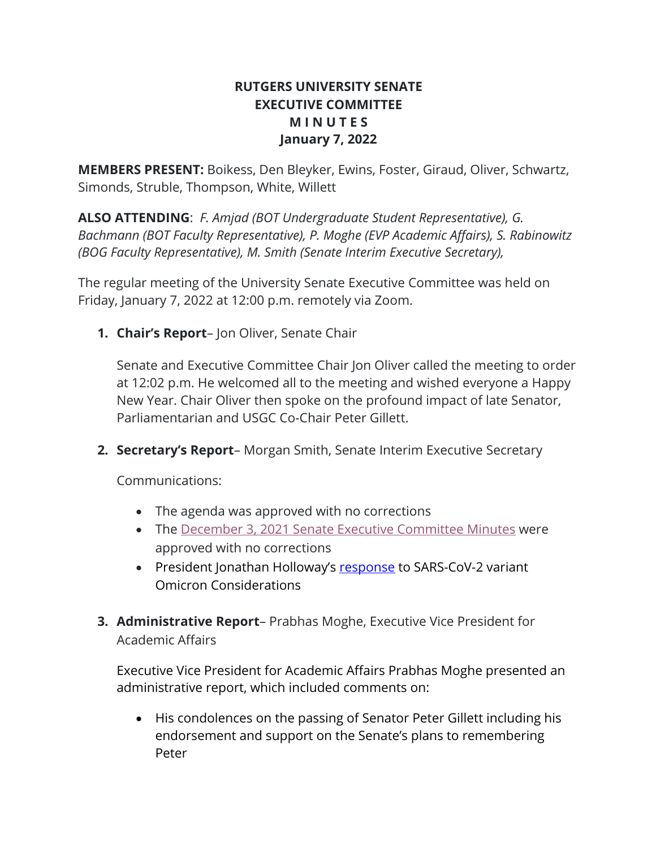# **RUTGERS UNIVERSITY SENATE EXECUTIVE COMMITTEE M I N U T E S January 7, 2022**

**MEMBERS PRESENT:** Boikess, Den Bleyker, Ewins, Foster, Giraud, Oliver, Schwartz, Simonds, Struble, Thompson, White, Willett

**ALSO ATTENDING**: *F. Amjad (BOT Undergraduate Student Representative), G. Bachmann (BOT Faculty Representative), P. Moghe (EVP Academic Affairs), S. Rabinowitz (BOG Faculty Representative), M. Smith (Senate Interim Executive Secretary),* 

The regular meeting of the University Senate Executive Committee was held on Friday, January 7, 2022 at 12:00 p.m. remotely via Zoom.

**1. Chair's Report**– Jon Oliver, Senate Chair

Senate and Executive Committee Chair Jon Oliver called the meeting to order at 12:02 p.m. He welcomed all to the meeting and wished everyone a Happy New Year. Chair Oliver then spoke on the profound impact of late Senator, Parliamentarian and USGC Co-Chair Peter Gillett.

**2. Secretary's Report**– Morgan Smith, Senate Interim Executive Secretary

Communications:

- The agenda was approved with no corrections
- The December 3, 2021 Senate Executive Committee Minutes were approved with no corrections
- President Jonathan Holloway's response to SARS-CoV-2 variant Omicron Considerations
- **3. Administrative Report** Prabhas Moghe, Executive Vice President for Academic Affairs

Executive Vice President for Academic Affairs Prabhas Moghe presented an administrative report, which included comments on:

• His condolences on the passing of Senator Peter Gillett including his endorsement and support on the Senate's plans to remembering Peter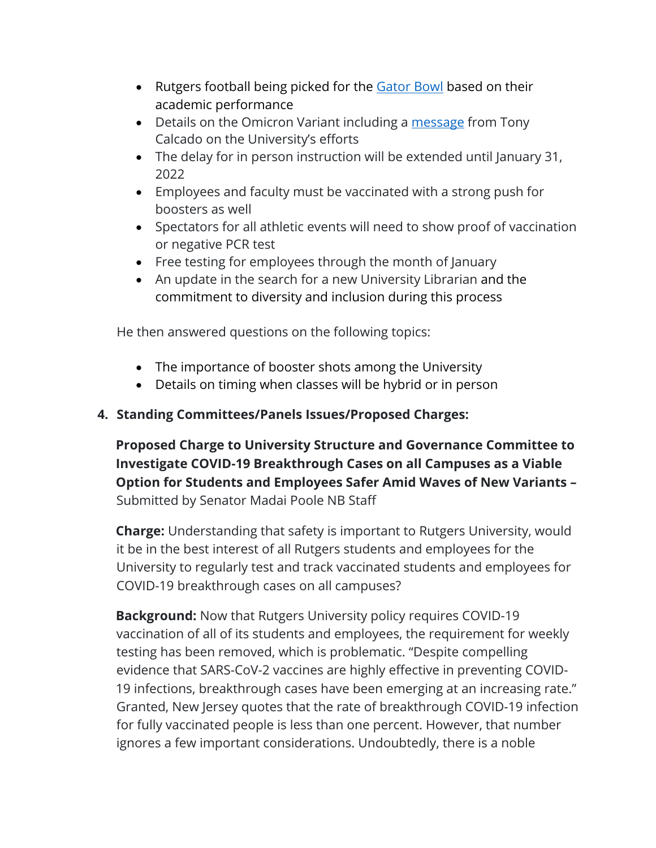- Rutgers football being picked for the **Gator Bowl** based on their academic performance
- Details on the Omicron Variant including a message from Tony Calcado on the University's efforts
- The delay for in person instruction will be extended until January 31, 2022
- Employees and faculty must be vaccinated with a strong push for boosters as well
- Spectators for all athletic events will need to show proof of vaccination or negative PCR test
- Free testing for employees through the month of January
- An update in the search for a new University Librarian and the commitment to diversity and inclusion during this process

He then answered questions on the following topics:

- The importance of booster shots among the University
- Details on timing when classes will be hybrid or in person

# **4. Standing Committees/Panels Issues/Proposed Charges:**

**Proposed Charge to University Structure and Governance Committee to Investigate COVID-19 Breakthrough Cases on all Campuses as a Viable Option for Students and Employees Safer Amid Waves of New Variants –** Submitted by Senator Madai Poole NB Staff

**Charge:** Understanding that safety is important to Rutgers University, would it be in the best interest of all Rutgers students and employees for the University to regularly test and track vaccinated students and employees for COVID-19 breakthrough cases on all campuses?

**Background:** Now that Rutgers University policy requires COVID-19 vaccination of all of its students and employees, the requirement for weekly testing has been removed, which is problematic. "Despite compelling evidence that SARS-CoV-2 vaccines are highly effective in preventing COVID-19 infections, breakthrough cases have been emerging at an increasing rate." Granted, New Jersey quotes that the rate of breakthrough COVID-19 infection for fully vaccinated people is less than one percent. However, that number ignores a few important considerations. Undoubtedly, there is a noble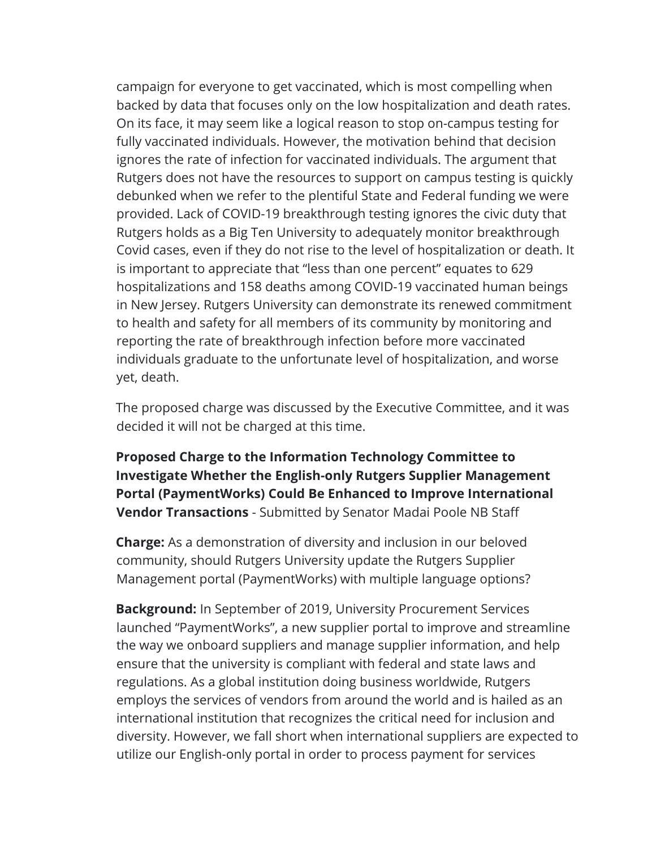campaign for everyone to get vaccinated, which is most compelling when backed by data that focuses only on the low hospitalization and death rates. On its face, it may seem like a logical reason to stop on-campus testing for fully vaccinated individuals. However, the motivation behind that decision ignores the rate of infection for vaccinated individuals. The argument that Rutgers does not have the resources to support on campus testing is quickly debunked when we refer to the plentiful State and Federal funding we were provided. Lack of COVID-19 breakthrough testing ignores the civic duty that Rutgers holds as a Big Ten University to adequately monitor breakthrough Covid cases, even if they do not rise to the level of hospitalization or death. It is important to appreciate that "less than one percent" equates to 629 hospitalizations and 158 deaths among COVID-19 vaccinated human beings in New Jersey. Rutgers University can demonstrate its renewed commitment to health and safety for all members of its community by monitoring and reporting the rate of breakthrough infection before more vaccinated individuals graduate to the unfortunate level of hospitalization, and worse yet, death.

The proposed charge was discussed by the Executive Committee, and it was decided it will not be charged at this time.

**Proposed Charge to the Information Technology Committee to Investigate Whether the English-only Rutgers Supplier Management Portal (PaymentWorks) Could Be Enhanced to Improve International Vendor Transactions** - Submitted by Senator Madai Poole NB Staff

**Charge:** As a demonstration of diversity and inclusion in our beloved community, should Rutgers University update the Rutgers Supplier Management portal (PaymentWorks) with multiple language options?

**Background:** In September of 2019, University Procurement Services launched "PaymentWorks", a new supplier portal to improve and streamline the way we onboard suppliers and manage supplier information, and help ensure that the university is compliant with federal and state laws and regulations. As a global institution doing business worldwide, Rutgers employs the services of vendors from around the world and is hailed as an international institution that recognizes the critical need for inclusion and diversity. However, we fall short when international suppliers are expected to utilize our English-only portal in order to process payment for services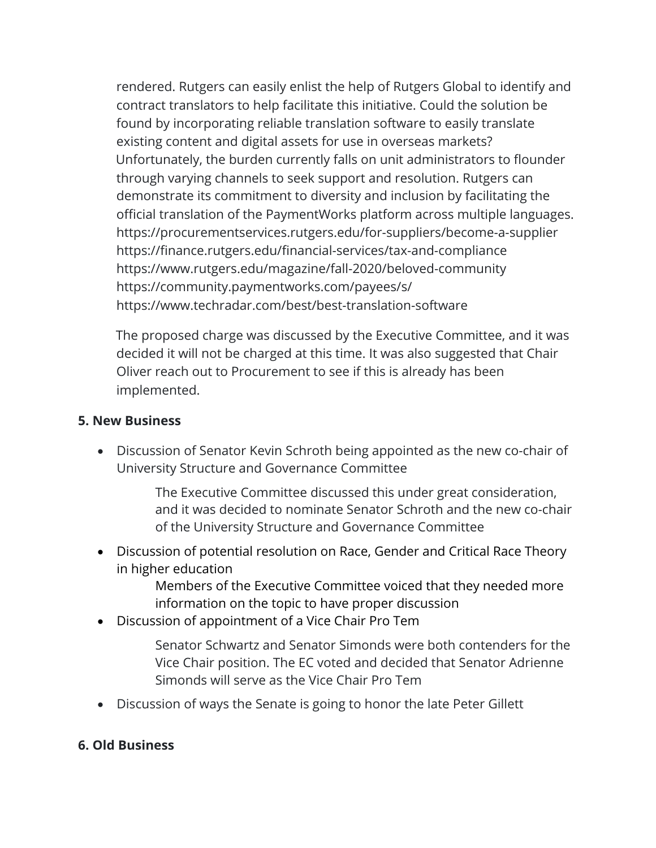rendered. Rutgers can easily enlist the help of Rutgers Global to identify and contract translators to help facilitate this initiative. Could the solution be found by incorporating reliable translation software to easily translate existing content and digital assets for use in overseas markets? Unfortunately, the burden currently falls on unit administrators to flounder through varying channels to seek support and resolution. Rutgers can demonstrate its commitment to diversity and inclusion by facilitating the official translation of the PaymentWorks platform across multiple languages. https://procurementservices.rutgers.edu/for-suppliers/become-a-supplier https://finance.rutgers.edu/financial-services/tax-and-compliance https://www.rutgers.edu/magazine/fall-2020/beloved-community https://community.paymentworks.com/payees/s/ https://www.techradar.com/best/best-translation-software

The proposed charge was discussed by the Executive Committee, and it was decided it will not be charged at this time. It was also suggested that Chair Oliver reach out to Procurement to see if this is already has been implemented.

#### **5. New Business**

• Discussion of Senator Kevin Schroth being appointed as the new co-chair of University Structure and Governance Committee

> The Executive Committee discussed this under great consideration, and it was decided to nominate Senator Schroth and the new co-chair of the University Structure and Governance Committee

• Discussion of potential resolution on Race, Gender and Critical Race Theory in higher education

> Members of the Executive Committee voiced that they needed more information on the topic to have proper discussion

• Discussion of appointment of a Vice Chair Pro Tem

Senator Schwartz and Senator Simonds were both contenders for the Vice Chair position. The EC voted and decided that Senator Adrienne Simonds will serve as the Vice Chair Pro Tem

• Discussion of ways the Senate is going to honor the late Peter Gillett

### **6. Old Business**